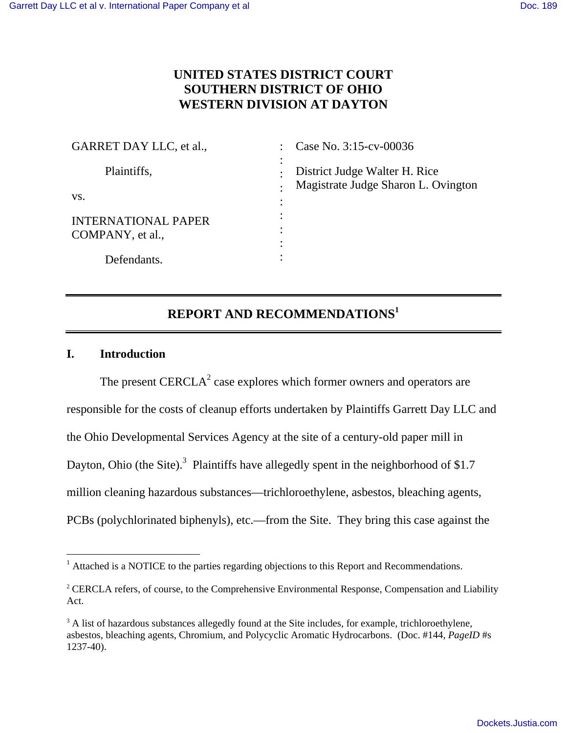# **UNITED STATES DISTRICT COURT SOUTHERN DISTRICT OF OHIO WESTERN DIVISION AT DAYTON**

| GARRET DAY LLC, et al.,                        | Case No. 3:15-cv-00036                                               |
|------------------------------------------------|----------------------------------------------------------------------|
| Plaintiffs,                                    | District Judge Walter H. Rice<br>Magistrate Judge Sharon L. Ovington |
| VS.                                            |                                                                      |
| <b>INTERNATIONAL PAPER</b><br>COMPANY, et al., | $\cdot$<br>٠<br>٠                                                    |
| Defendants.                                    | $\bullet$                                                            |

# **REPORT AND RECOMMENDATIONS<sup>1</sup>**

# **I. Introduction**

The present  $CERCLA<sup>2</sup>$  case explores which former owners and operators are responsible for the costs of cleanup efforts undertaken by Plaintiffs Garrett Day LLC and the Ohio Developmental Services Agency at the site of a century-old paper mill in Dayton, Ohio (the Site).<sup>3</sup> Plaintiffs have allegedly spent in the neighborhood of \$1.7 million cleaning hazardous substances—trichloroethylene, asbestos, bleaching agents, PCBs (polychlorinated biphenyls), etc.—from the Site. They bring this case against the

<sup>-</sup><sup>1</sup> Attached is a NOTICE to the parties regarding objections to this Report and Recommendations.

<sup>&</sup>lt;sup>2</sup> CERCLA refers, of course, to the Comprehensive Environmental Response, Compensation and Liability Act.

<sup>&</sup>lt;sup>3</sup> A list of hazardous substances allegedly found at the Site includes, for example, trichloroethylene, asbestos, bleaching agents, Chromium, and Polycyclic Aromatic Hydrocarbons. (Doc. #144, *PageID* #s 1237-40).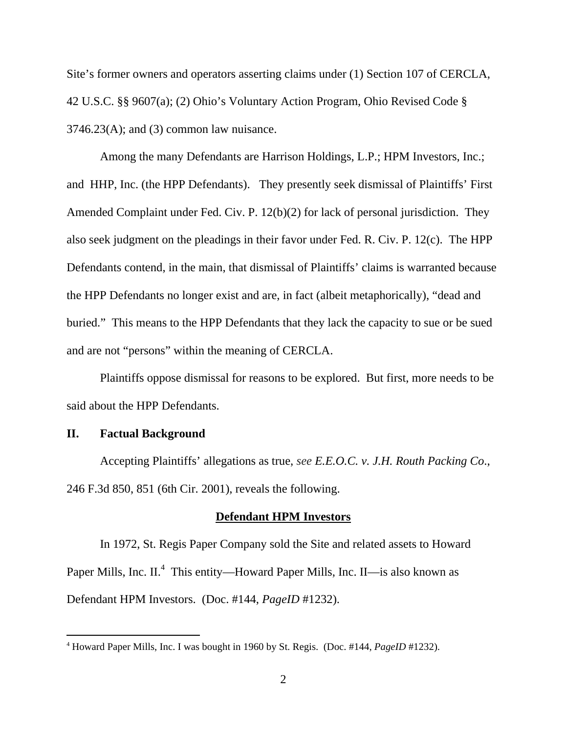Site's former owners and operators asserting claims under (1) Section 107 of CERCLA, 42 U.S.C. §§ 9607(a); (2) Ohio's Voluntary Action Program, Ohio Revised Code §  $3746.23(A)$ ; and (3) common law nuisance.

Among the many Defendants are Harrison Holdings, L.P.; HPM Investors, Inc.; and HHP, Inc. (the HPP Defendants). They presently seek dismissal of Plaintiffs' First Amended Complaint under Fed. Civ. P. 12(b)(2) for lack of personal jurisdiction. They also seek judgment on the pleadings in their favor under Fed. R. Civ. P. 12(c). The HPP Defendants contend, in the main, that dismissal of Plaintiffs' claims is warranted because the HPP Defendants no longer exist and are, in fact (albeit metaphorically), "dead and buried." This means to the HPP Defendants that they lack the capacity to sue or be sued and are not "persons" within the meaning of CERCLA.

Plaintiffs oppose dismissal for reasons to be explored. But first, more needs to be said about the HPP Defendants.

## **II. Factual Background**

 $\overline{a}$ 

Accepting Plaintiffs' allegations as true, *see E.E.O.C. v. J.H. Routh Packing Co*., 246 F.3d 850, 851 (6th Cir. 2001), reveals the following.

#### **Defendant HPM Investors**

 In 1972, St. Regis Paper Company sold the Site and related assets to Howard Paper Mills, Inc. II.<sup>4</sup> This entity—Howard Paper Mills, Inc. II—is also known as Defendant HPM Investors. (Doc. #144, *PageID* #1232).

<sup>4</sup> Howard Paper Mills, Inc. I was bought in 1960 by St. Regis. (Doc. #144, *PageID* #1232).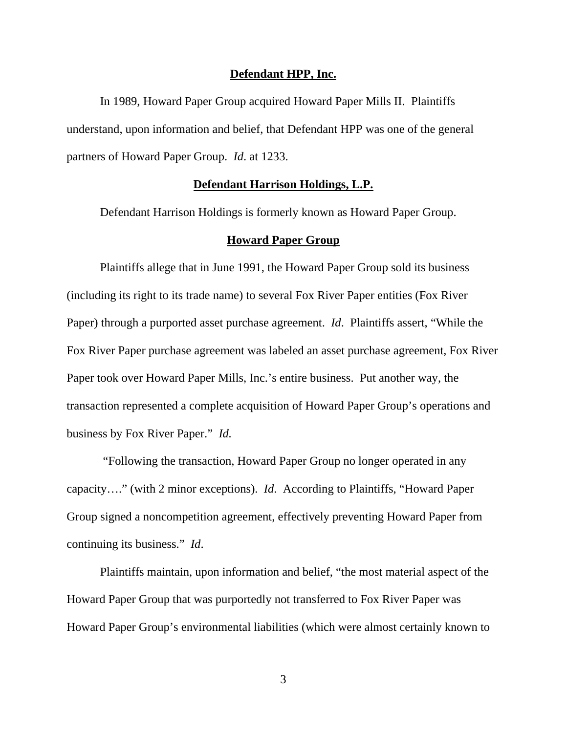#### **Defendant HPP, Inc.**

 In 1989, Howard Paper Group acquired Howard Paper Mills II. Plaintiffs understand, upon information and belief, that Defendant HPP was one of the general partners of Howard Paper Group. *Id*. at 1233.

## **Defendant Harrison Holdings, L.P.**

Defendant Harrison Holdings is formerly known as Howard Paper Group.

#### **Howard Paper Group**

Plaintiffs allege that in June 1991, the Howard Paper Group sold its business (including its right to its trade name) to several Fox River Paper entities (Fox River Paper) through a purported asset purchase agreement. *Id*. Plaintiffs assert, "While the Fox River Paper purchase agreement was labeled an asset purchase agreement, Fox River Paper took over Howard Paper Mills, Inc.'s entire business. Put another way, the transaction represented a complete acquisition of Howard Paper Group's operations and business by Fox River Paper." *Id.* 

"Following the transaction, Howard Paper Group no longer operated in any capacity…." (with 2 minor exceptions). *Id*. According to Plaintiffs, "Howard Paper Group signed a noncompetition agreement, effectively preventing Howard Paper from continuing its business." *Id*.

Plaintiffs maintain, upon information and belief, "the most material aspect of the Howard Paper Group that was purportedly not transferred to Fox River Paper was Howard Paper Group's environmental liabilities (which were almost certainly known to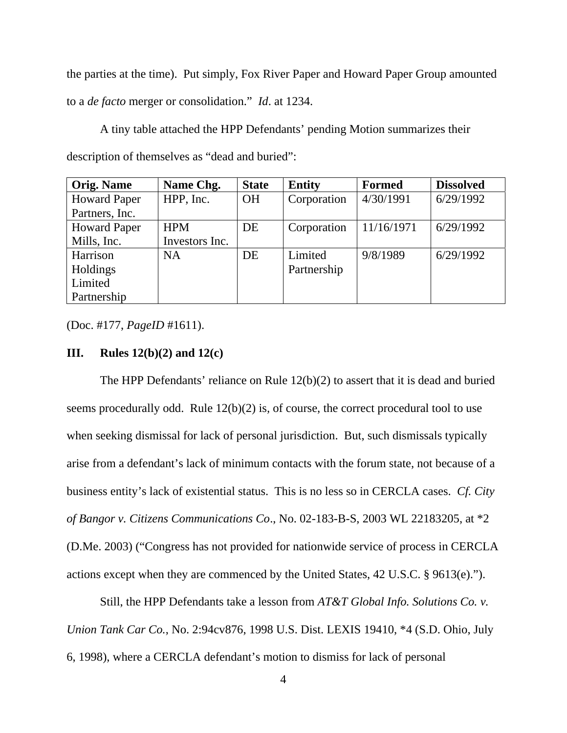the parties at the time). Put simply, Fox River Paper and Howard Paper Group amounted to a *de facto* merger or consolidation." *Id*. at 1234.

A tiny table attached the HPP Defendants' pending Motion summarizes their description of themselves as "dead and buried":

| <b>Orig. Name</b>   | Name Chg.      | <b>State</b> | <b>Entity</b> | <b>Formed</b> | <b>Dissolved</b> |
|---------------------|----------------|--------------|---------------|---------------|------------------|
| <b>Howard Paper</b> | HPP, Inc.      | OH           | Corporation   | 4/30/1991     | 6/29/1992        |
| Partners, Inc.      |                |              |               |               |                  |
| <b>Howard Paper</b> | <b>HPM</b>     | DE           | Corporation   | 11/16/1971    | 6/29/1992        |
| Mills, Inc.         | Investors Inc. |              |               |               |                  |
| Harrison            | <b>NA</b>      | DE           | Limited       | 9/8/1989      | 6/29/1992        |
| Holdings            |                |              | Partnership   |               |                  |
| Limited             |                |              |               |               |                  |
| Partnership         |                |              |               |               |                  |

(Doc. #177, *PageID* #1611).

## **III. Rules 12(b)(2) and 12(c)**

 The HPP Defendants' reliance on Rule 12(b)(2) to assert that it is dead and buried seems procedurally odd. Rule 12(b)(2) is*,* of course, the correct procedural tool to use when seeking dismissal for lack of personal jurisdiction. But, such dismissals typically arise from a defendant's lack of minimum contacts with the forum state, not because of a business entity's lack of existential status. This is no less so in CERCLA cases. *Cf. City of Bangor v. Citizens Communications Co*., No. 02-183-B-S, 2003 WL 22183205, at \*2 (D.Me. 2003) ("Congress has not provided for nationwide service of process in CERCLA actions except when they are commenced by the United States, 42 U.S.C. § 9613(e).").

 Still, the HPP Defendants take a lesson from *AT&T Global Info. Solutions Co. v. Union Tank Car Co.*, No. 2:94cv876, 1998 U.S. Dist. LEXIS 19410, \*4 (S.D. Ohio, July 6, 1998), where a CERCLA defendant's motion to dismiss for lack of personal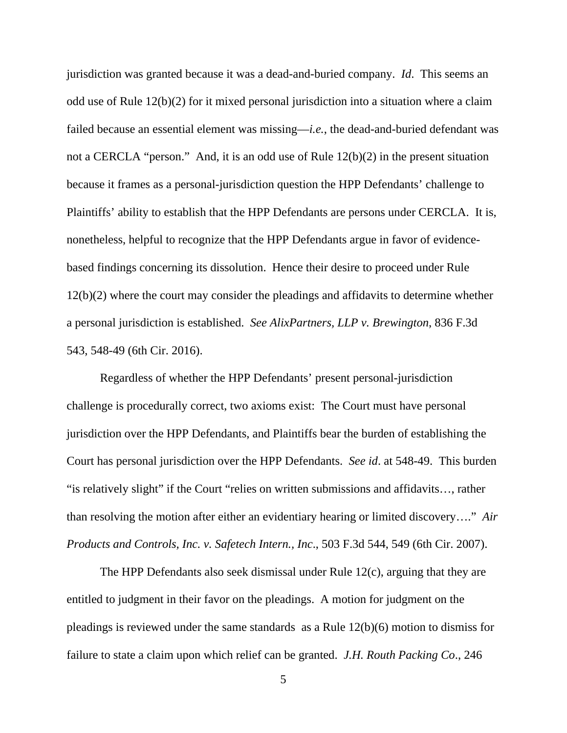jurisdiction was granted because it was a dead-and-buried company. *Id*. This seems an odd use of Rule 12(b)(2) for it mixed personal jurisdiction into a situation where a claim failed because an essential element was missing—*i.e.*, the dead-and-buried defendant was not a CERCLA "person." And, it is an odd use of Rule 12(b)(2) in the present situation because it frames as a personal-jurisdiction question the HPP Defendants' challenge to Plaintiffs' ability to establish that the HPP Defendants are persons under CERCLA.It is, nonetheless, helpful to recognize that the HPP Defendants argue in favor of evidencebased findings concerning its dissolution. Hence their desire to proceed under Rule 12(b)(2) where the court may consider the pleadings and affidavits to determine whether a personal jurisdiction is established. *See AlixPartners, LLP v. Brewington*, 836 F.3d 543, 548-49 (6th Cir. 2016).

 Regardless of whether the HPP Defendants' present personal-jurisdiction challenge is procedurally correct, two axioms exist: The Court must have personal jurisdiction over the HPP Defendants, and Plaintiffs bear the burden of establishing the Court has personal jurisdiction over the HPP Defendants. *See id*. at 548-49. This burden "is relatively slight" if the Court "relies on written submissions and affidavits…, rather than resolving the motion after either an evidentiary hearing or limited discovery…." *Air Products and Controls, Inc. v. Safetech Intern., Inc*., 503 F.3d 544, 549 (6th Cir. 2007).

 The HPP Defendants also seek dismissal under Rule 12(c), arguing that they are entitled to judgment in their favor on the pleadings. A motion for judgment on the pleadings is reviewed under the same standards as a Rule 12(b)(6) motion to dismiss for failure to state a claim upon which relief can be granted. *J.H. Routh Packing Co*., 246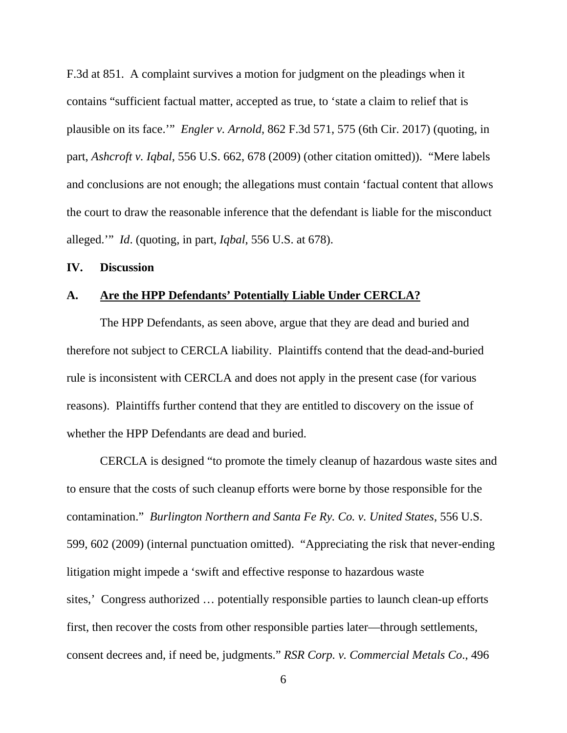F.3d at 851. A complaint survives a motion for judgment on the pleadings when it contains "sufficient factual matter, accepted as true, to 'state a claim to relief that is plausible on its face.'" *Engler v. Arnold*, 862 F.3d 571, 575 (6th Cir. 2017) (quoting, in part, *Ashcroft v. Iqbal*, 556 U.S. 662, 678 (2009) (other citation omitted)). "Mere labels and conclusions are not enough; the allegations must contain 'factual content that allows the court to draw the reasonable inference that the defendant is liable for the misconduct alleged.'" *Id*. (quoting, in part, *Iqbal*, 556 U.S. at 678).

#### **IV. Discussion**

## **A. Are the HPP Defendants' Potentially Liable Under CERCLA?**

 The HPP Defendants, as seen above, argue that they are dead and buried and therefore not subject to CERCLA liability. Plaintiffs contend that the dead-and-buried rule is inconsistent with CERCLA and does not apply in the present case (for various reasons). Plaintiffs further contend that they are entitled to discovery on the issue of whether the HPP Defendants are dead and buried.

 CERCLA is designed "to promote the timely cleanup of hazardous waste sites and to ensure that the costs of such cleanup efforts were borne by those responsible for the contamination." *Burlington Northern and Santa Fe Ry. Co. v. United States*, 556 U.S. 599, 602 (2009) (internal punctuation omitted). "Appreciating the risk that never-ending litigation might impede a 'swift and effective response to hazardous waste sites,' Congress authorized … potentially responsible parties to launch clean-up efforts first, then recover the costs from other responsible parties later—through settlements, consent decrees and, if need be, judgments." *RSR Corp. v. Commercial Metals Co*., 496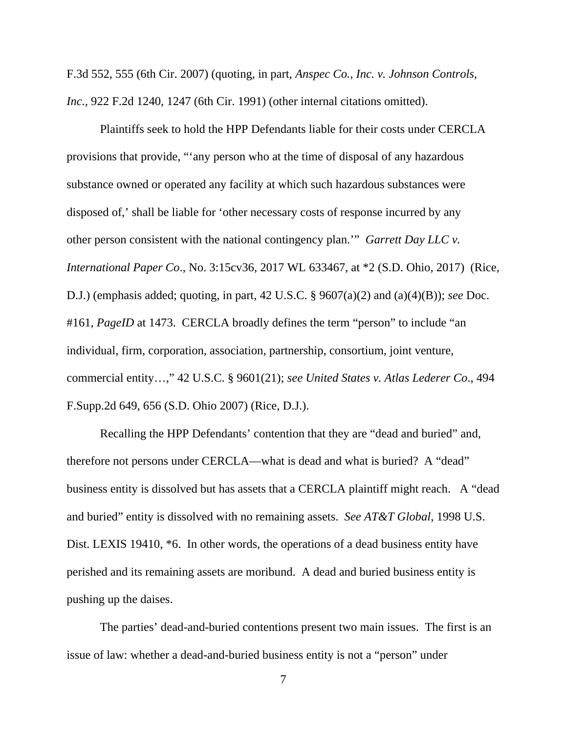F.3d 552, 555 (6th Cir. 2007) (quoting, in part, *Anspec Co., Inc. v. Johnson Controls, Inc.,* 922 F.2d 1240, 1247 (6th Cir. 1991) (other internal citations omitted).

 Plaintiffs seek to hold the HPP Defendants liable for their costs under CERCLA provisions that provide, "'any person who at the time of disposal of any hazardous substance owned or operated any facility at which such hazardous substances were disposed of,' shall be liable for 'other necessary costs of response incurred by any other person consistent with the national contingency plan.'" *Garrett Day LLC v. International Paper Co*., No. 3:15cv36, 2017 WL 633467, at \*2 (S.D. Ohio, 2017) (Rice, D.J.) (emphasis added; quoting, in part, 42 U.S.C. § 9607(a)(2) and (a)(4)(B)); *see* Doc. #161, *PageID* at 1473. CERCLA broadly defines the term "person" to include "an individual, firm, corporation, association, partnership, consortium, joint venture, commercial entity…," 42 U.S.C. § 9601(21); *see United States v. Atlas Lederer Co*., 494 F.Supp.2d 649, 656 (S.D. Ohio 2007) (Rice, D.J.).

 Recalling the HPP Defendants' contention that they are "dead and buried" and, therefore not persons under CERCLA—what is dead and what is buried? A "dead" business entity is dissolved but has assets that a CERCLA plaintiff might reach. A "dead and buried" entity is dissolved with no remaining assets. *See AT&T Global*, 1998 U.S. Dist. LEXIS 19410, \*6. In other words, the operations of a dead business entity have perished and its remaining assets are moribund. A dead and buried business entity is pushing up the daises.

 The parties' dead-and-buried contentions present two main issues. The first is an issue of law: whether a dead-and-buried business entity is not a "person" under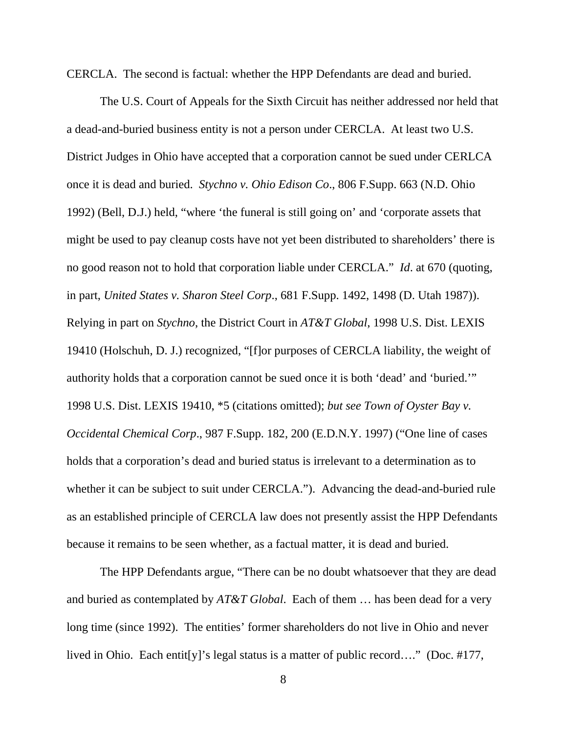CERCLA. The second is factual: whether the HPP Defendants are dead and buried.

 The U.S. Court of Appeals for the Sixth Circuit has neither addressed nor held that a dead-and-buried business entity is not a person under CERCLA. At least two U.S. District Judges in Ohio have accepted that a corporation cannot be sued under CERLCA once it is dead and buried. *Stychno v. Ohio Edison Co*., 806 F.Supp. 663 (N.D. Ohio 1992) (Bell, D.J.) held, "where 'the funeral is still going on' and 'corporate assets that might be used to pay cleanup costs have not yet been distributed to shareholders' there is no good reason not to hold that corporation liable under CERCLA." *Id*. at 670 (quoting, in part, *United States v. Sharon Steel Corp*., 681 F.Supp. 1492, 1498 (D. Utah 1987)). Relying in part on *Stychno*, the District Court in *AT&T Global*, 1998 U.S. Dist. LEXIS 19410 (Holschuh, D. J.) recognized, "[f]or purposes of CERCLA liability, the weight of authority holds that a corporation cannot be sued once it is both 'dead' and 'buried.'" 1998 U.S. Dist. LEXIS 19410, \*5 (citations omitted); *but see Town of Oyster Bay v. Occidental Chemical Corp*., 987 F.Supp. 182, 200 (E.D.N.Y. 1997) ("One line of cases holds that a corporation's dead and buried status is irrelevant to a determination as to whether it can be subject to suit under CERCLA."). Advancing the dead-and-buried rule as an established principle of CERCLA law does not presently assist the HPP Defendants because it remains to be seen whether, as a factual matter, it is dead and buried.

 The HPP Defendants argue, "There can be no doubt whatsoever that they are dead and buried as contemplated by *AT&T Global*. Each of them … has been dead for a very long time (since 1992). The entities' former shareholders do not live in Ohio and never lived in Ohio. Each entit[y]'s legal status is a matter of public record…." (Doc. #177,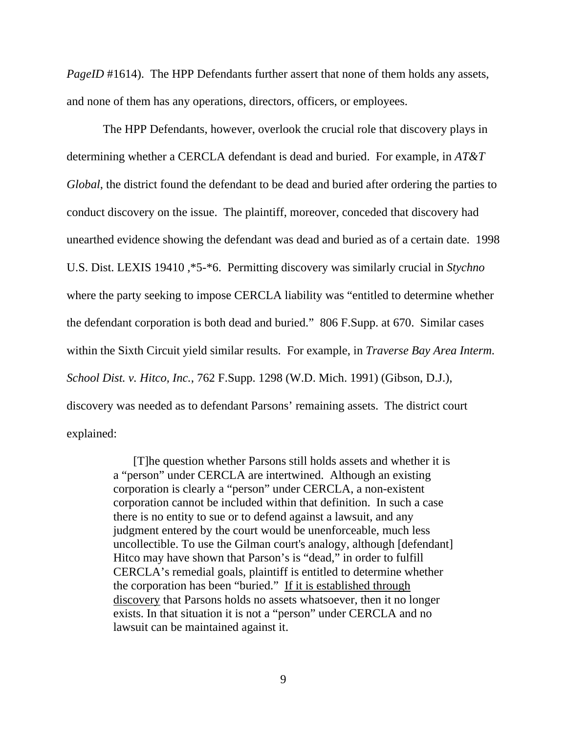*PageID* #1614). The HPP Defendants further assert that none of them holds any assets, and none of them has any operations, directors, officers, or employees.

 The HPP Defendants, however, overlook the crucial role that discovery plays in determining whether a CERCLA defendant is dead and buried. For example, in *AT&T Global*, the district found the defendant to be dead and buried after ordering the parties to conduct discovery on the issue. The plaintiff, moreover, conceded that discovery had unearthed evidence showing the defendant was dead and buried as of a certain date. 1998 U.S. Dist. LEXIS 19410 ,\*5-\*6. Permitting discovery was similarly crucial in *Stychno* where the party seeking to impose CERCLA liability was "entitled to determine whether the defendant corporation is both dead and buried." 806 F.Supp. at 670. Similar cases within the Sixth Circuit yield similar results. For example, in *Traverse Bay Area Interm. School Dist. v. Hitco, Inc.*, 762 F.Supp. 1298 (W.D. Mich. 1991) (Gibson, D.J.), discovery was needed as to defendant Parsons' remaining assets. The district court explained:

> [T]he question whether Parsons still holds assets and whether it is a "person" under CERCLA are intertwined. Although an existing corporation is clearly a "person" under CERCLA, a non-existent corporation cannot be included within that definition. In such a case there is no entity to sue or to defend against a lawsuit, and any judgment entered by the court would be unenforceable, much less uncollectible. To use the Gilman court's analogy, although [defendant] Hitco may have shown that Parson's is "dead," in order to fulfill CERCLA's remedial goals, plaintiff is entitled to determine whether the corporation has been "buried." If it is established through discovery that Parsons holds no assets whatsoever, then it no longer exists. In that situation it is not a "person" under CERCLA and no lawsuit can be maintained against it.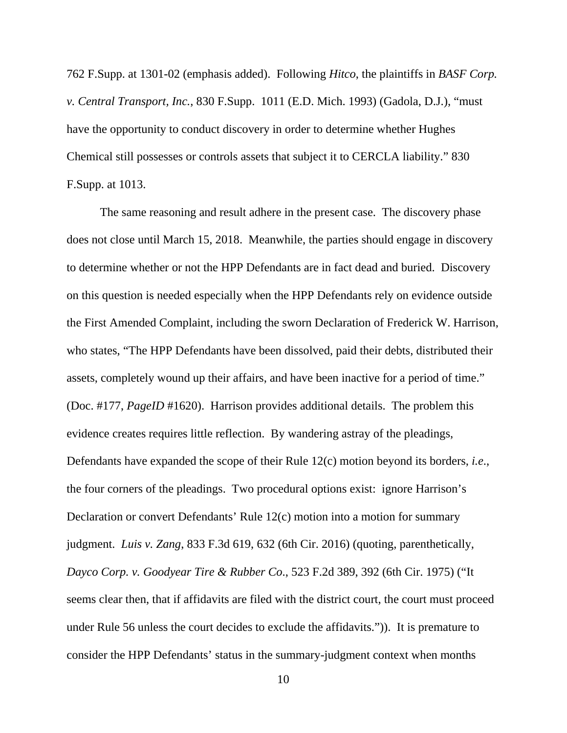762 F.Supp. at 1301-02 (emphasis added). Following *Hitco*, the plaintiffs in *BASF Corp. v. Central Transport, Inc.*, 830 F.Supp. 1011 (E.D. Mich. 1993) (Gadola, D.J.), "must have the opportunity to conduct discovery in order to determine whether Hughes Chemical still possesses or controls assets that subject it to CERCLA liability." 830 F.Supp. at 1013.

 The same reasoning and result adhere in the present case. The discovery phase does not close until March 15, 2018. Meanwhile, the parties should engage in discovery to determine whether or not the HPP Defendants are in fact dead and buried. Discovery on this question is needed especially when the HPP Defendants rely on evidence outside the First Amended Complaint, including the sworn Declaration of Frederick W. Harrison, who states, "The HPP Defendants have been dissolved, paid their debts, distributed their assets, completely wound up their affairs, and have been inactive for a period of time." (Doc. #177, *PageID* #1620). Harrison provides additional details. The problem this evidence creates requires little reflection. By wandering astray of the pleadings, Defendants have expanded the scope of their Rule 12(c) motion beyond its borders, *i.e*., the four corners of the pleadings. Two procedural options exist: ignore Harrison's Declaration or convert Defendants' Rule 12(c) motion into a motion for summary judgment. *Luis v. Zang*, 833 F.3d 619, 632 (6th Cir. 2016) (quoting, parenthetically, *Dayco Corp. v. Goodyear Tire & Rubber Co*., 523 F.2d 389, 392 (6th Cir. 1975) ("It seems clear then, that if affidavits are filed with the district court, the court must proceed under Rule 56 unless the court decides to exclude the affidavits.")). It is premature to consider the HPP Defendants' status in the summary-judgment context when months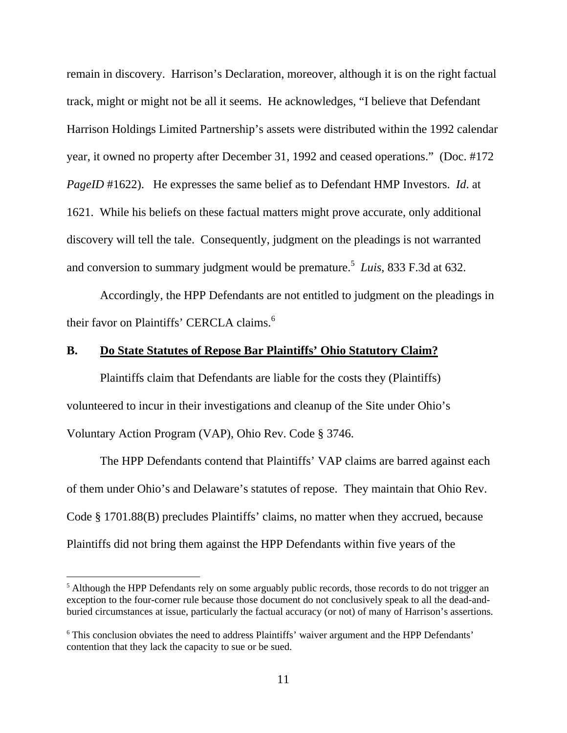remain in discovery. Harrison's Declaration, moreover, although it is on the right factual track, might or might not be all it seems. He acknowledges, "I believe that Defendant Harrison Holdings Limited Partnership's assets were distributed within the 1992 calendar year, it owned no property after December 31, 1992 and ceased operations." (Doc. #172 *PageID* #1622). He expresses the same belief as to Defendant HMP Investors. *Id*. at 1621. While his beliefs on these factual matters might prove accurate, only additional discovery will tell the tale. Consequently, judgment on the pleadings is not warranted and conversion to summary judgment would be premature.<sup>5</sup> Luis, 833 F.3d at 632.

 Accordingly, the HPP Defendants are not entitled to judgment on the pleadings in their favor on Plaintiffs' CERCLA claims.<sup>6</sup>

## **B. Do State Statutes of Repose Bar Plaintiffs' Ohio Statutory Claim?**

 Plaintiffs claim that Defendants are liable for the costs they (Plaintiffs) volunteered to incur in their investigations and cleanup of the Site under Ohio's Voluntary Action Program (VAP), Ohio Rev. Code § 3746.

 The HPP Defendants contend that Plaintiffs' VAP claims are barred against each of them under Ohio's and Delaware's statutes of repose. They maintain that Ohio Rev. Code § 1701.88(B) precludes Plaintiffs' claims, no matter when they accrued, because Plaintiffs did not bring them against the HPP Defendants within five years of the

 $\overline{a}$ 

 $<sup>5</sup>$  Although the HPP Defendants rely on some arguably public records, those records to do not trigger an</sup> exception to the four-corner rule because those document do not conclusively speak to all the dead-andburied circumstances at issue, particularly the factual accuracy (or not) of many of Harrison's assertions.

<sup>&</sup>lt;sup>6</sup> This conclusion obviates the need to address Plaintiffs' waiver argument and the HPP Defendants' contention that they lack the capacity to sue or be sued.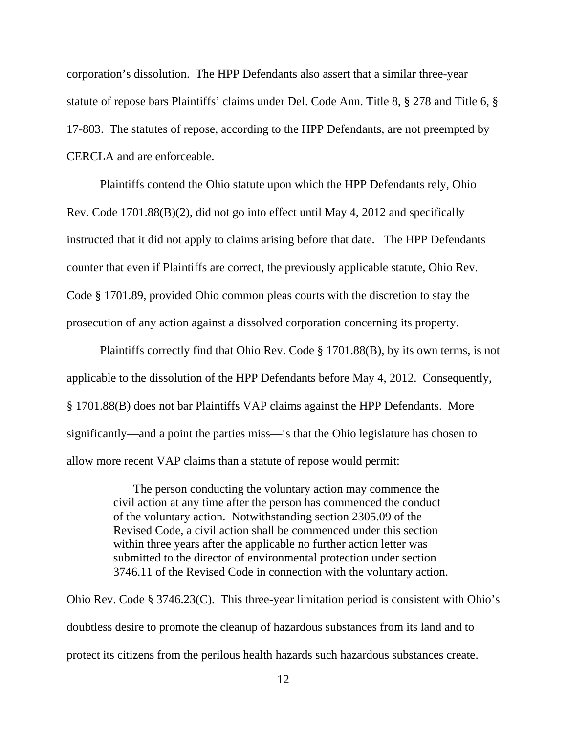corporation's dissolution. The HPP Defendants also assert that a similar three-year statute of repose bars Plaintiffs' claims under Del. Code Ann. Title 8, § 278 and Title 6, § 17-803. The statutes of repose, according to the HPP Defendants, are not preempted by CERCLA and are enforceable.

 Plaintiffs contend the Ohio statute upon which the HPP Defendants rely, Ohio Rev. Code 1701.88(B)(2), did not go into effect until May 4, 2012 and specifically instructed that it did not apply to claims arising before that date. The HPP Defendants counter that even if Plaintiffs are correct, the previously applicable statute, Ohio Rev. Code § 1701.89, provided Ohio common pleas courts with the discretion to stay the prosecution of any action against a dissolved corporation concerning its property.

 Plaintiffs correctly find that Ohio Rev. Code § 1701.88(B), by its own terms, is not applicable to the dissolution of the HPP Defendants before May 4, 2012. Consequently, § 1701.88(B) does not bar Plaintiffs VAP claims against the HPP Defendants. More significantly—and a point the parties miss—is that the Ohio legislature has chosen to allow more recent VAP claims than a statute of repose would permit:

> The person conducting the voluntary action may commence the civil action at any time after the person has commenced the conduct of the voluntary action. Notwithstanding section 2305.09 of the Revised Code, a civil action shall be commenced under this section within three years after the applicable no further action letter was submitted to the director of environmental protection under section 3746.11 of the Revised Code in connection with the voluntary action.

Ohio Rev. Code § 3746.23(C). This three-year limitation period is consistent with Ohio's doubtless desire to promote the cleanup of hazardous substances from its land and to protect its citizens from the perilous health hazards such hazardous substances create.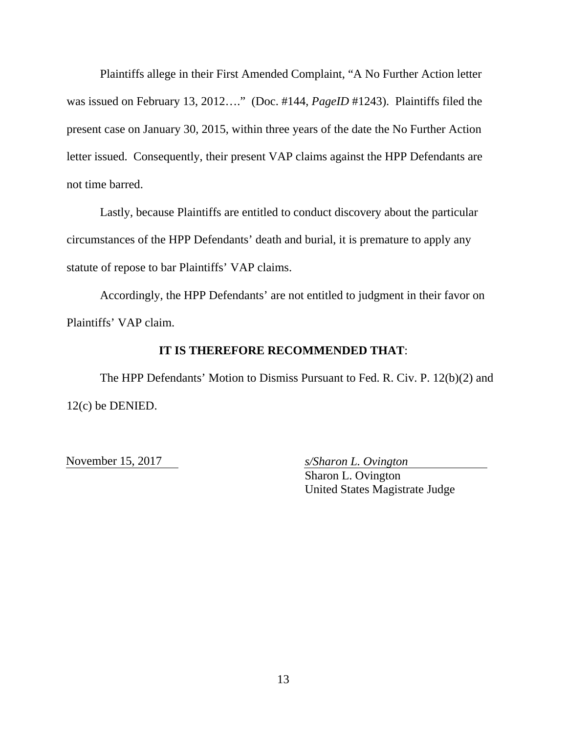Plaintiffs allege in their First Amended Complaint, "A No Further Action letter was issued on February 13, 2012…." (Doc. #144, *PageID* #1243). Plaintiffs filed the present case on January 30, 2015, within three years of the date the No Further Action letter issued. Consequently, their present VAP claims against the HPP Defendants are not time barred.

 Lastly, because Plaintiffs are entitled to conduct discovery about the particular circumstances of the HPP Defendants' death and burial, it is premature to apply any statute of repose to bar Plaintiffs' VAP claims.

 Accordingly, the HPP Defendants' are not entitled to judgment in their favor on Plaintiffs' VAP claim.

# **IT IS THEREFORE RECOMMENDED THAT**:

 The HPP Defendants' Motion to Dismiss Pursuant to Fed. R. Civ. P. 12(b)(2) and 12(c) be DENIED.

November 15, 2017 *s/Sharon L. Ovington* 

 Sharon L. Ovington United States Magistrate Judge